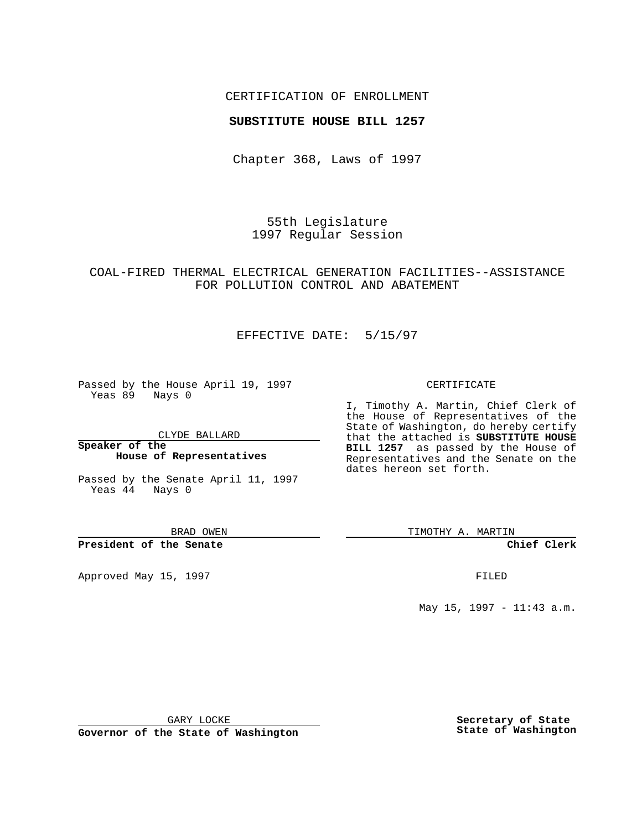### CERTIFICATION OF ENROLLMENT

### **SUBSTITUTE HOUSE BILL 1257**

Chapter 368, Laws of 1997

55th Legislature 1997 Regular Session

# COAL-FIRED THERMAL ELECTRICAL GENERATION FACILITIES--ASSISTANCE FOR POLLUTION CONTROL AND ABATEMENT

# EFFECTIVE DATE: 5/15/97

Passed by the House April 19, 1997 Yeas 89 Nays 0

CLYDE BALLARD

**Speaker of the House of Representatives**

Passed by the Senate April 11, 1997 Yeas 44 Nays 0

BRAD OWEN

### **President of the Senate**

Approved May 15, 1997 **FILED** 

#### CERTIFICATE

I, Timothy A. Martin, Chief Clerk of the House of Representatives of the State of Washington, do hereby certify that the attached is **SUBSTITUTE HOUSE BILL 1257** as passed by the House of Representatives and the Senate on the dates hereon set forth.

TIMOTHY A. MARTIN

**Chief Clerk**

May 15, 1997 - 11:43 a.m.

GARY LOCKE

**Governor of the State of Washington**

**Secretary of State State of Washington**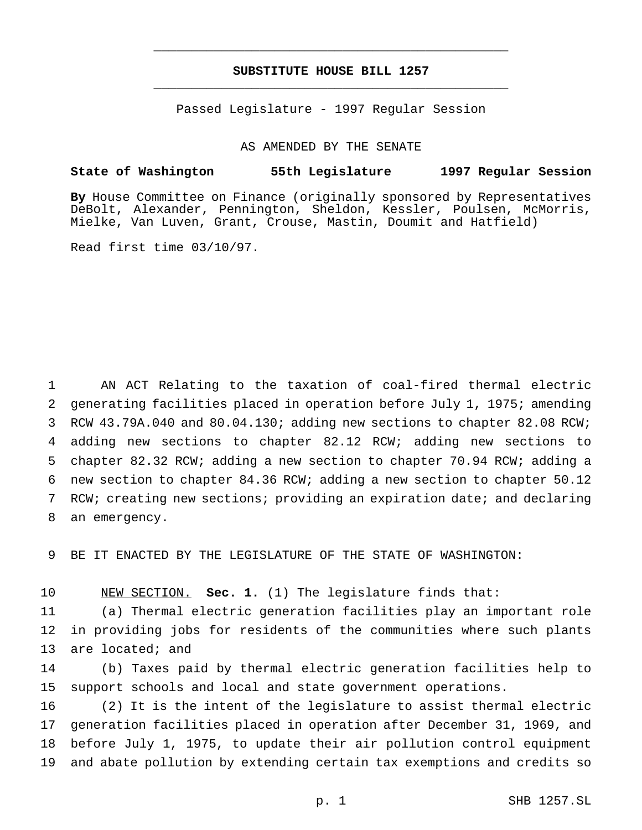# **SUBSTITUTE HOUSE BILL 1257** \_\_\_\_\_\_\_\_\_\_\_\_\_\_\_\_\_\_\_\_\_\_\_\_\_\_\_\_\_\_\_\_\_\_\_\_\_\_\_\_\_\_\_\_\_\_\_

\_\_\_\_\_\_\_\_\_\_\_\_\_\_\_\_\_\_\_\_\_\_\_\_\_\_\_\_\_\_\_\_\_\_\_\_\_\_\_\_\_\_\_\_\_\_\_

Passed Legislature - 1997 Regular Session

AS AMENDED BY THE SENATE

## **State of Washington 55th Legislature 1997 Regular Session**

**By** House Committee on Finance (originally sponsored by Representatives DeBolt, Alexander, Pennington, Sheldon, Kessler, Poulsen, McMorris, Mielke, Van Luven, Grant, Crouse, Mastin, Doumit and Hatfield)

Read first time 03/10/97.

 AN ACT Relating to the taxation of coal-fired thermal electric generating facilities placed in operation before July 1, 1975; amending RCW 43.79A.040 and 80.04.130; adding new sections to chapter 82.08 RCW; adding new sections to chapter 82.12 RCW; adding new sections to chapter 82.32 RCW; adding a new section to chapter 70.94 RCW; adding a new section to chapter 84.36 RCW; adding a new section to chapter 50.12 RCW; creating new sections; providing an expiration date; and declaring an emergency.

BE IT ENACTED BY THE LEGISLATURE OF THE STATE OF WASHINGTON:

NEW SECTION. **Sec. 1.** (1) The legislature finds that:

 (a) Thermal electric generation facilities play an important role in providing jobs for residents of the communities where such plants are located; and

 (b) Taxes paid by thermal electric generation facilities help to support schools and local and state government operations.

 (2) It is the intent of the legislature to assist thermal electric generation facilities placed in operation after December 31, 1969, and before July 1, 1975, to update their air pollution control equipment and abate pollution by extending certain tax exemptions and credits so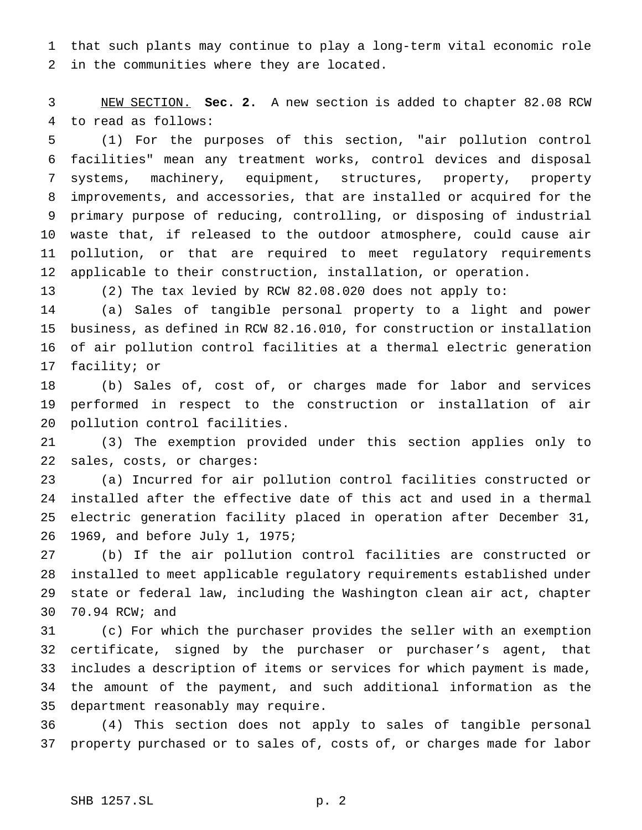that such plants may continue to play a long-term vital economic role in the communities where they are located.

 NEW SECTION. **Sec. 2.** A new section is added to chapter 82.08 RCW to read as follows:

 (1) For the purposes of this section, "air pollution control facilities" mean any treatment works, control devices and disposal systems, machinery, equipment, structures, property, property improvements, and accessories, that are installed or acquired for the primary purpose of reducing, controlling, or disposing of industrial waste that, if released to the outdoor atmosphere, could cause air pollution, or that are required to meet regulatory requirements applicable to their construction, installation, or operation.

(2) The tax levied by RCW 82.08.020 does not apply to:

 (a) Sales of tangible personal property to a light and power business, as defined in RCW 82.16.010, for construction or installation of air pollution control facilities at a thermal electric generation facility; or

 (b) Sales of, cost of, or charges made for labor and services performed in respect to the construction or installation of air pollution control facilities.

 (3) The exemption provided under this section applies only to sales, costs, or charges:

 (a) Incurred for air pollution control facilities constructed or installed after the effective date of this act and used in a thermal electric generation facility placed in operation after December 31, 1969, and before July 1, 1975;

 (b) If the air pollution control facilities are constructed or installed to meet applicable regulatory requirements established under state or federal law, including the Washington clean air act, chapter 70.94 RCW; and

 (c) For which the purchaser provides the seller with an exemption certificate, signed by the purchaser or purchaser's agent, that includes a description of items or services for which payment is made, the amount of the payment, and such additional information as the department reasonably may require.

 (4) This section does not apply to sales of tangible personal property purchased or to sales of, costs of, or charges made for labor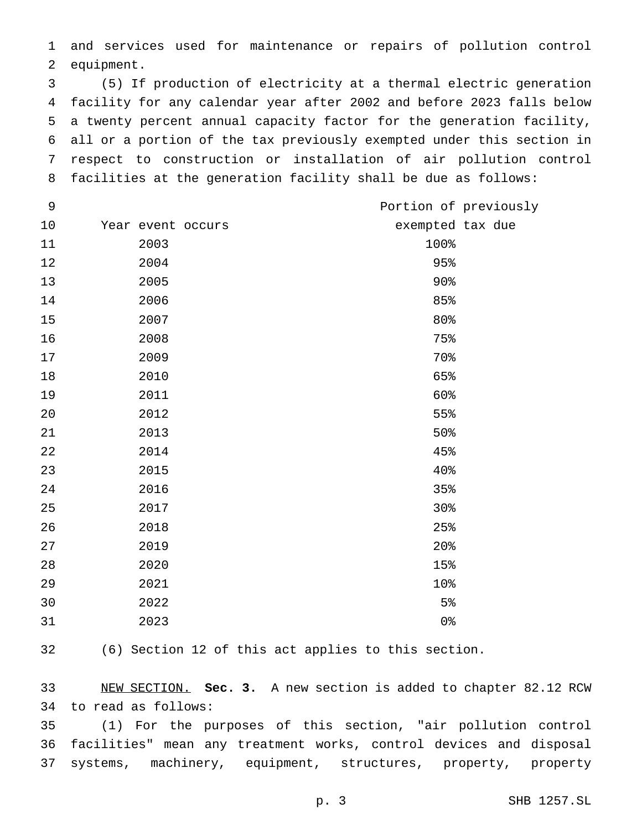and services used for maintenance or repairs of pollution control equipment.

 (5) If production of electricity at a thermal electric generation facility for any calendar year after 2002 and before 2023 falls below a twenty percent annual capacity factor for the generation facility, all or a portion of the tax previously exempted under this section in respect to construction or installation of air pollution control facilities at the generation facility shall be due as follows:

| $\mathsf 9$ |      |                   |                  | Portion of previously |
|-------------|------|-------------------|------------------|-----------------------|
| $10$        |      | Year event occurs | exempted tax due |                       |
| 11          | 2003 |                   | 100%             |                       |
| $12$        | 2004 |                   | 95%              |                       |
| 13          | 2005 |                   | 90%              |                       |
| 14          | 2006 |                   | 85%              |                       |
| 15          | 2007 |                   | 80%              |                       |
| 16          | 2008 |                   | 75%              |                       |
| 17          | 2009 |                   | 70%              |                       |
| $18\,$      | 2010 |                   | 65%              |                       |
| 19          | 2011 |                   | 60%              |                       |
| 20          | 2012 |                   | 55%              |                       |
| 21          | 2013 |                   | 50%              |                       |
| 22          | 2014 |                   | 45%              |                       |
| 23          | 2015 |                   | 40%              |                       |
| 24          | 2016 |                   | 35%              |                       |
| 25          | 2017 |                   | 30%              |                       |
| 26          | 2018 |                   | 25%              |                       |
| 27          | 2019 |                   | 20 <sup>o</sup>  |                       |
| 28          | 2020 |                   | 15%              |                       |
| 29          | 2021 |                   | 10%              |                       |
| 30          | 2022 |                   | 5%               |                       |
| 31          | 2023 |                   | 0 <sup>°</sup>   |                       |

(6) Section 12 of this act applies to this section.

 NEW SECTION. **Sec. 3.** A new section is added to chapter 82.12 RCW to read as follows:

 (1) For the purposes of this section, "air pollution control facilities" mean any treatment works, control devices and disposal systems, machinery, equipment, structures, property, property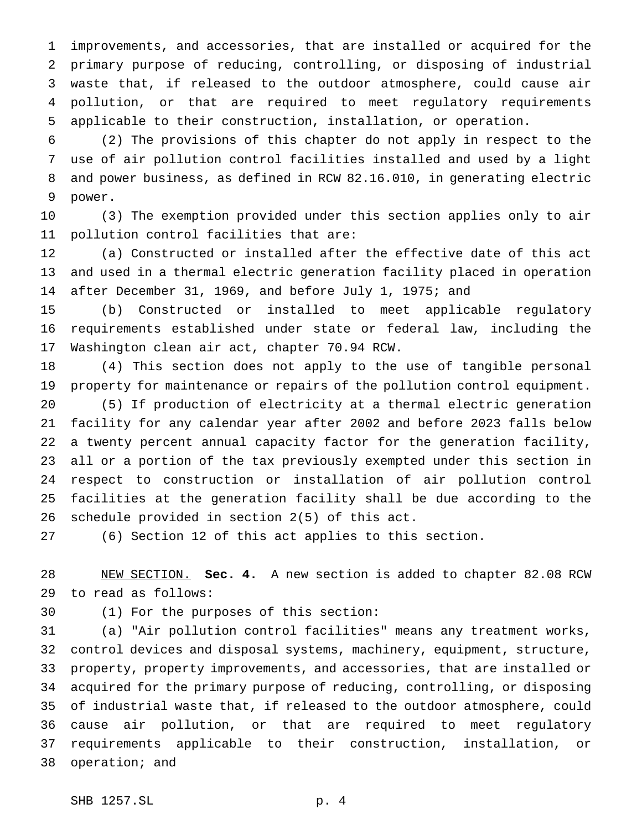improvements, and accessories, that are installed or acquired for the primary purpose of reducing, controlling, or disposing of industrial waste that, if released to the outdoor atmosphere, could cause air pollution, or that are required to meet regulatory requirements applicable to their construction, installation, or operation.

 (2) The provisions of this chapter do not apply in respect to the use of air pollution control facilities installed and used by a light and power business, as defined in RCW 82.16.010, in generating electric power.

 (3) The exemption provided under this section applies only to air pollution control facilities that are:

 (a) Constructed or installed after the effective date of this act and used in a thermal electric generation facility placed in operation after December 31, 1969, and before July 1, 1975; and

 (b) Constructed or installed to meet applicable regulatory requirements established under state or federal law, including the Washington clean air act, chapter 70.94 RCW.

 (4) This section does not apply to the use of tangible personal property for maintenance or repairs of the pollution control equipment.

 (5) If production of electricity at a thermal electric generation facility for any calendar year after 2002 and before 2023 falls below a twenty percent annual capacity factor for the generation facility, all or a portion of the tax previously exempted under this section in respect to construction or installation of air pollution control facilities at the generation facility shall be due according to the schedule provided in section 2(5) of this act.

(6) Section 12 of this act applies to this section.

 NEW SECTION. **Sec. 4.** A new section is added to chapter 82.08 RCW to read as follows:

(1) For the purposes of this section:

 (a) "Air pollution control facilities" means any treatment works, control devices and disposal systems, machinery, equipment, structure, property, property improvements, and accessories, that are installed or acquired for the primary purpose of reducing, controlling, or disposing of industrial waste that, if released to the outdoor atmosphere, could cause air pollution, or that are required to meet regulatory requirements applicable to their construction, installation, or operation; and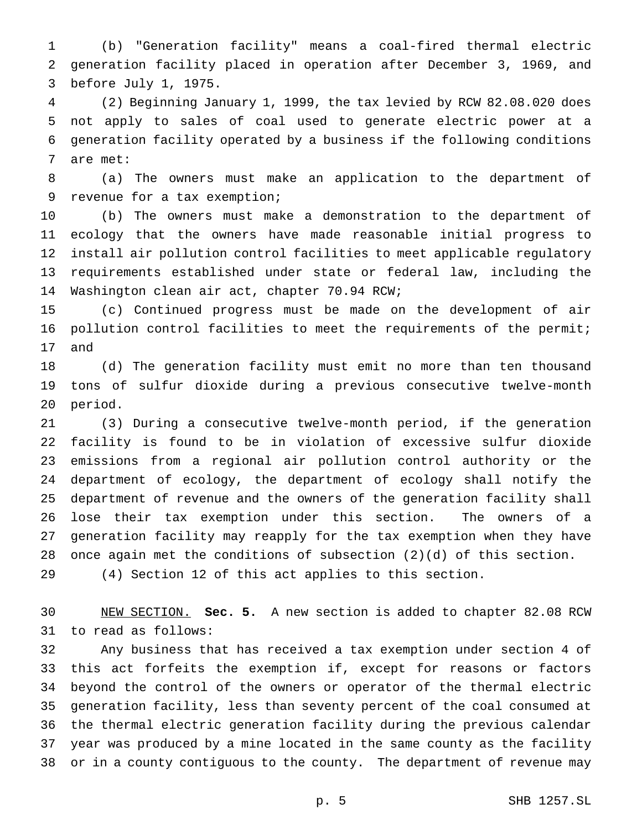(b) "Generation facility" means a coal-fired thermal electric generation facility placed in operation after December 3, 1969, and before July 1, 1975.

 (2) Beginning January 1, 1999, the tax levied by RCW 82.08.020 does not apply to sales of coal used to generate electric power at a generation facility operated by a business if the following conditions are met:

 (a) The owners must make an application to the department of revenue for a tax exemption;

 (b) The owners must make a demonstration to the department of ecology that the owners have made reasonable initial progress to install air pollution control facilities to meet applicable regulatory requirements established under state or federal law, including the Washington clean air act, chapter 70.94 RCW;

 (c) Continued progress must be made on the development of air pollution control facilities to meet the requirements of the permit; and

 (d) The generation facility must emit no more than ten thousand tons of sulfur dioxide during a previous consecutive twelve-month period.

 (3) During a consecutive twelve-month period, if the generation facility is found to be in violation of excessive sulfur dioxide emissions from a regional air pollution control authority or the department of ecology, the department of ecology shall notify the department of revenue and the owners of the generation facility shall lose their tax exemption under this section. The owners of a generation facility may reapply for the tax exemption when they have once again met the conditions of subsection (2)(d) of this section. (4) Section 12 of this act applies to this section.

 NEW SECTION. **Sec. 5.** A new section is added to chapter 82.08 RCW to read as follows:

 Any business that has received a tax exemption under section 4 of this act forfeits the exemption if, except for reasons or factors beyond the control of the owners or operator of the thermal electric generation facility, less than seventy percent of the coal consumed at the thermal electric generation facility during the previous calendar year was produced by a mine located in the same county as the facility or in a county contiguous to the county. The department of revenue may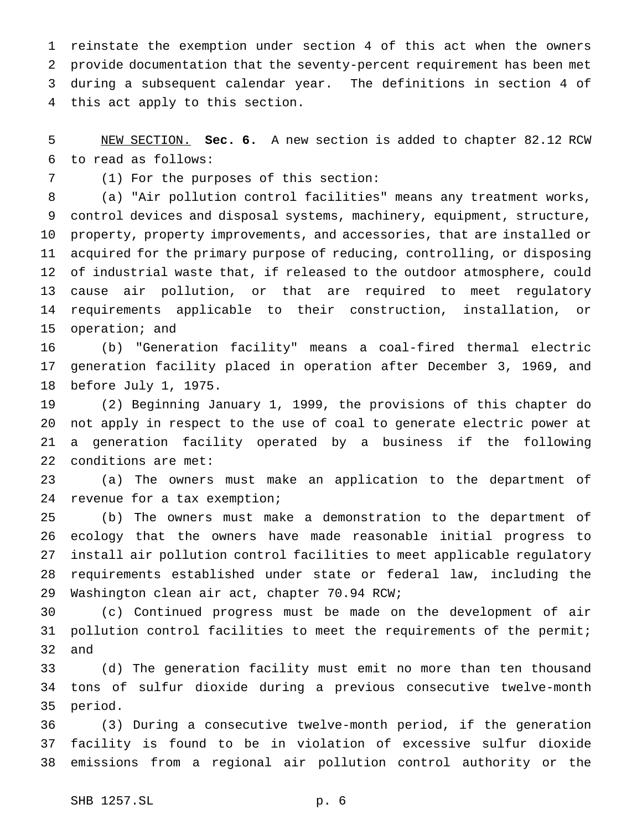reinstate the exemption under section 4 of this act when the owners provide documentation that the seventy-percent requirement has been met during a subsequent calendar year. The definitions in section 4 of this act apply to this section.

 NEW SECTION. **Sec. 6.** A new section is added to chapter 82.12 RCW to read as follows:

(1) For the purposes of this section:

 (a) "Air pollution control facilities" means any treatment works, control devices and disposal systems, machinery, equipment, structure, property, property improvements, and accessories, that are installed or acquired for the primary purpose of reducing, controlling, or disposing of industrial waste that, if released to the outdoor atmosphere, could cause air pollution, or that are required to meet regulatory requirements applicable to their construction, installation, or operation; and

 (b) "Generation facility" means a coal-fired thermal electric generation facility placed in operation after December 3, 1969, and before July 1, 1975.

 (2) Beginning January 1, 1999, the provisions of this chapter do not apply in respect to the use of coal to generate electric power at a generation facility operated by a business if the following conditions are met:

 (a) The owners must make an application to the department of revenue for a tax exemption;

 (b) The owners must make a demonstration to the department of ecology that the owners have made reasonable initial progress to install air pollution control facilities to meet applicable regulatory requirements established under state or federal law, including the Washington clean air act, chapter 70.94 RCW;

 (c) Continued progress must be made on the development of air pollution control facilities to meet the requirements of the permit; and

 (d) The generation facility must emit no more than ten thousand tons of sulfur dioxide during a previous consecutive twelve-month period.

 (3) During a consecutive twelve-month period, if the generation facility is found to be in violation of excessive sulfur dioxide emissions from a regional air pollution control authority or the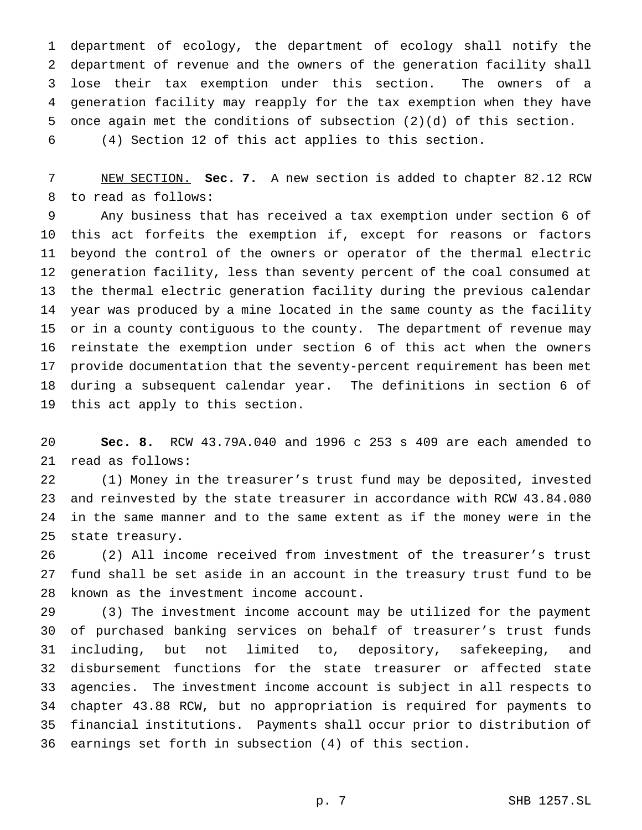department of ecology, the department of ecology shall notify the department of revenue and the owners of the generation facility shall lose their tax exemption under this section. The owners of a generation facility may reapply for the tax exemption when they have once again met the conditions of subsection (2)(d) of this section. (4) Section 12 of this act applies to this section.

 NEW SECTION. **Sec. 7.** A new section is added to chapter 82.12 RCW to read as follows:

 Any business that has received a tax exemption under section 6 of this act forfeits the exemption if, except for reasons or factors beyond the control of the owners or operator of the thermal electric generation facility, less than seventy percent of the coal consumed at the thermal electric generation facility during the previous calendar year was produced by a mine located in the same county as the facility or in a county contiguous to the county. The department of revenue may reinstate the exemption under section 6 of this act when the owners provide documentation that the seventy-percent requirement has been met during a subsequent calendar year. The definitions in section 6 of this act apply to this section.

 **Sec. 8.** RCW 43.79A.040 and 1996 c 253 s 409 are each amended to read as follows:

 (1) Money in the treasurer's trust fund may be deposited, invested and reinvested by the state treasurer in accordance with RCW 43.84.080 in the same manner and to the same extent as if the money were in the state treasury.

 (2) All income received from investment of the treasurer's trust fund shall be set aside in an account in the treasury trust fund to be known as the investment income account.

 (3) The investment income account may be utilized for the payment of purchased banking services on behalf of treasurer's trust funds including, but not limited to, depository, safekeeping, and disbursement functions for the state treasurer or affected state agencies. The investment income account is subject in all respects to chapter 43.88 RCW, but no appropriation is required for payments to financial institutions. Payments shall occur prior to distribution of earnings set forth in subsection (4) of this section.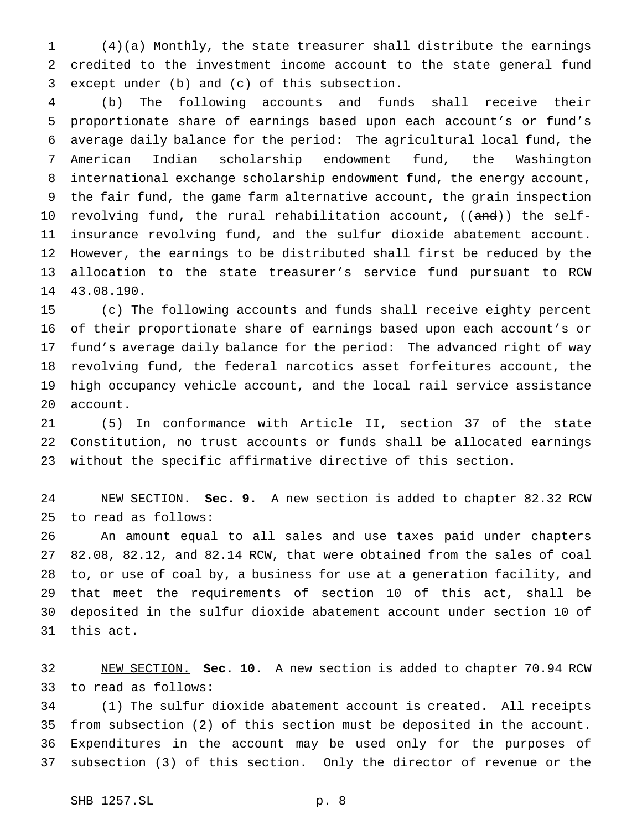(4)(a) Monthly, the state treasurer shall distribute the earnings credited to the investment income account to the state general fund except under (b) and (c) of this subsection.

 (b) The following accounts and funds shall receive their proportionate share of earnings based upon each account's or fund's average daily balance for the period: The agricultural local fund, the American Indian scholarship endowment fund, the Washington international exchange scholarship endowment fund, the energy account, the fair fund, the game farm alternative account, the grain inspection 10 revolving fund, the rural rehabilitation account, ((and)) the self-11 insurance revolving fund, and the sulfur dioxide abatement account. However, the earnings to be distributed shall first be reduced by the allocation to the state treasurer's service fund pursuant to RCW 43.08.190.

 (c) The following accounts and funds shall receive eighty percent of their proportionate share of earnings based upon each account's or fund's average daily balance for the period: The advanced right of way revolving fund, the federal narcotics asset forfeitures account, the high occupancy vehicle account, and the local rail service assistance account.

 (5) In conformance with Article II, section 37 of the state Constitution, no trust accounts or funds shall be allocated earnings without the specific affirmative directive of this section.

 NEW SECTION. **Sec. 9.** A new section is added to chapter 82.32 RCW to read as follows:

 An amount equal to all sales and use taxes paid under chapters 82.08, 82.12, and 82.14 RCW, that were obtained from the sales of coal to, or use of coal by, a business for use at a generation facility, and that meet the requirements of section 10 of this act, shall be deposited in the sulfur dioxide abatement account under section 10 of this act.

 NEW SECTION. **Sec. 10.** A new section is added to chapter 70.94 RCW to read as follows:

 (1) The sulfur dioxide abatement account is created. All receipts from subsection (2) of this section must be deposited in the account. Expenditures in the account may be used only for the purposes of subsection (3) of this section. Only the director of revenue or the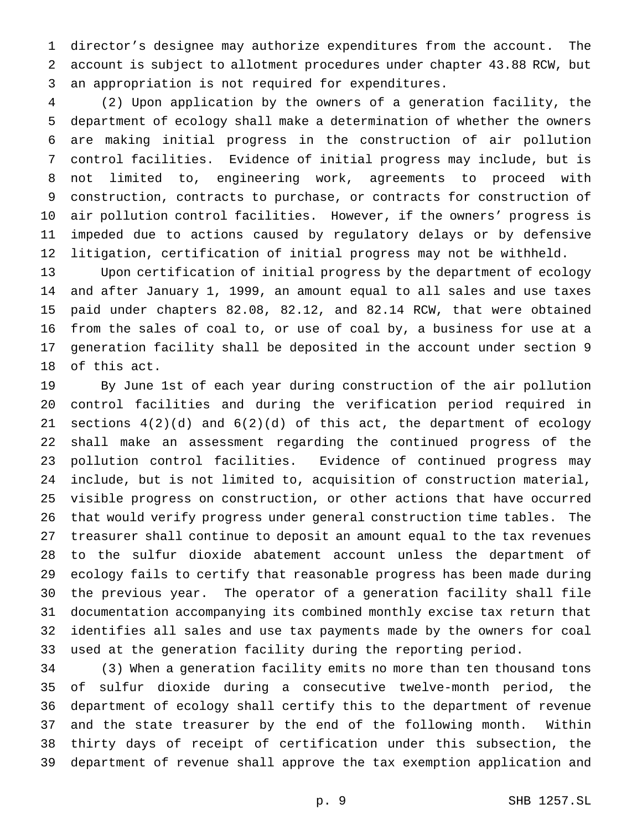director's designee may authorize expenditures from the account. The account is subject to allotment procedures under chapter 43.88 RCW, but an appropriation is not required for expenditures.

 (2) Upon application by the owners of a generation facility, the department of ecology shall make a determination of whether the owners are making initial progress in the construction of air pollution control facilities. Evidence of initial progress may include, but is not limited to, engineering work, agreements to proceed with construction, contracts to purchase, or contracts for construction of air pollution control facilities. However, if the owners' progress is impeded due to actions caused by regulatory delays or by defensive litigation, certification of initial progress may not be withheld.

 Upon certification of initial progress by the department of ecology and after January 1, 1999, an amount equal to all sales and use taxes paid under chapters 82.08, 82.12, and 82.14 RCW, that were obtained from the sales of coal to, or use of coal by, a business for use at a generation facility shall be deposited in the account under section 9 of this act.

 By June 1st of each year during construction of the air pollution control facilities and during the verification period required in sections 4(2)(d) and 6(2)(d) of this act, the department of ecology shall make an assessment regarding the continued progress of the pollution control facilities. Evidence of continued progress may include, but is not limited to, acquisition of construction material, visible progress on construction, or other actions that have occurred that would verify progress under general construction time tables. The treasurer shall continue to deposit an amount equal to the tax revenues to the sulfur dioxide abatement account unless the department of ecology fails to certify that reasonable progress has been made during the previous year. The operator of a generation facility shall file documentation accompanying its combined monthly excise tax return that identifies all sales and use tax payments made by the owners for coal used at the generation facility during the reporting period.

 (3) When a generation facility emits no more than ten thousand tons of sulfur dioxide during a consecutive twelve-month period, the department of ecology shall certify this to the department of revenue and the state treasurer by the end of the following month. Within thirty days of receipt of certification under this subsection, the department of revenue shall approve the tax exemption application and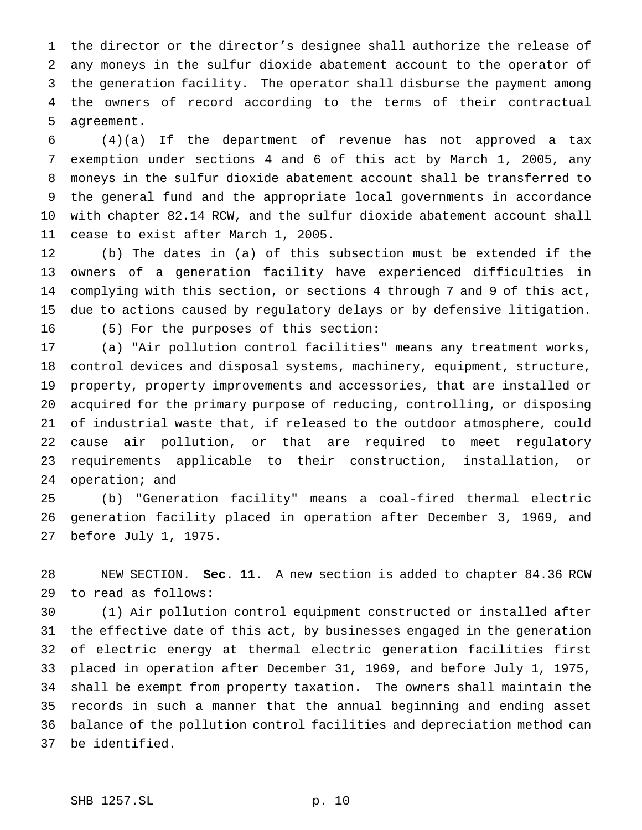the director or the director's designee shall authorize the release of any moneys in the sulfur dioxide abatement account to the operator of the generation facility. The operator shall disburse the payment among the owners of record according to the terms of their contractual agreement.

 (4)(a) If the department of revenue has not approved a tax exemption under sections 4 and 6 of this act by March 1, 2005, any moneys in the sulfur dioxide abatement account shall be transferred to the general fund and the appropriate local governments in accordance with chapter 82.14 RCW, and the sulfur dioxide abatement account shall cease to exist after March 1, 2005.

 (b) The dates in (a) of this subsection must be extended if the owners of a generation facility have experienced difficulties in complying with this section, or sections 4 through 7 and 9 of this act, due to actions caused by regulatory delays or by defensive litigation. (5) For the purposes of this section:

 (a) "Air pollution control facilities" means any treatment works, control devices and disposal systems, machinery, equipment, structure, property, property improvements and accessories, that are installed or acquired for the primary purpose of reducing, controlling, or disposing of industrial waste that, if released to the outdoor atmosphere, could cause air pollution, or that are required to meet regulatory requirements applicable to their construction, installation, or operation; and

 (b) "Generation facility" means a coal-fired thermal electric generation facility placed in operation after December 3, 1969, and before July 1, 1975.

 NEW SECTION. **Sec. 11.** A new section is added to chapter 84.36 RCW to read as follows:

 (1) Air pollution control equipment constructed or installed after the effective date of this act, by businesses engaged in the generation of electric energy at thermal electric generation facilities first placed in operation after December 31, 1969, and before July 1, 1975, shall be exempt from property taxation. The owners shall maintain the records in such a manner that the annual beginning and ending asset balance of the pollution control facilities and depreciation method can be identified.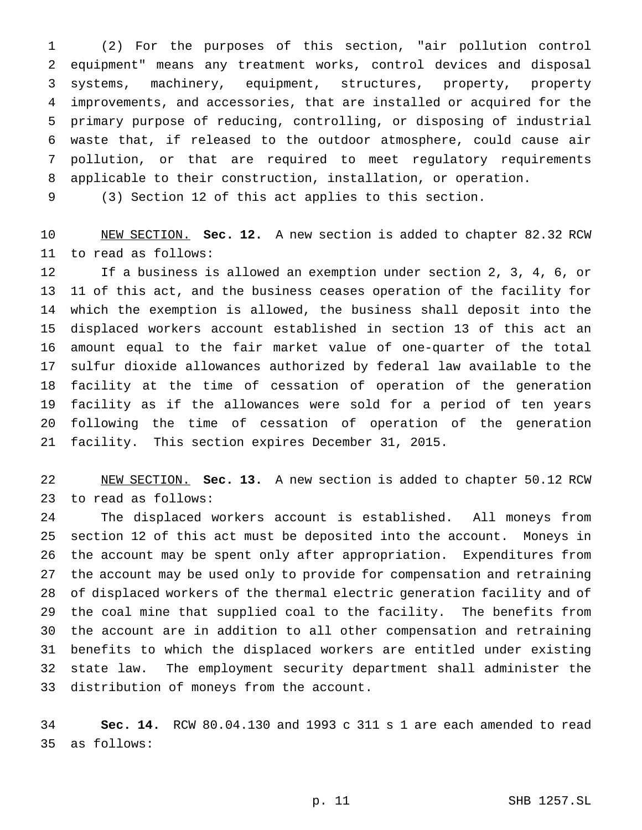(2) For the purposes of this section, "air pollution control equipment" means any treatment works, control devices and disposal systems, machinery, equipment, structures, property, property improvements, and accessories, that are installed or acquired for the primary purpose of reducing, controlling, or disposing of industrial waste that, if released to the outdoor atmosphere, could cause air pollution, or that are required to meet regulatory requirements applicable to their construction, installation, or operation.

(3) Section 12 of this act applies to this section.

 NEW SECTION. **Sec. 12.** A new section is added to chapter 82.32 RCW to read as follows:

 If a business is allowed an exemption under section 2, 3, 4, 6, or 11 of this act, and the business ceases operation of the facility for which the exemption is allowed, the business shall deposit into the displaced workers account established in section 13 of this act an amount equal to the fair market value of one-quarter of the total sulfur dioxide allowances authorized by federal law available to the facility at the time of cessation of operation of the generation facility as if the allowances were sold for a period of ten years following the time of cessation of operation of the generation facility. This section expires December 31, 2015.

 NEW SECTION. **Sec. 13.** A new section is added to chapter 50.12 RCW to read as follows:

 The displaced workers account is established. All moneys from section 12 of this act must be deposited into the account. Moneys in the account may be spent only after appropriation. Expenditures from the account may be used only to provide for compensation and retraining of displaced workers of the thermal electric generation facility and of the coal mine that supplied coal to the facility. The benefits from the account are in addition to all other compensation and retraining benefits to which the displaced workers are entitled under existing state law. The employment security department shall administer the distribution of moneys from the account.

 **Sec. 14.** RCW 80.04.130 and 1993 c 311 s 1 are each amended to read as follows: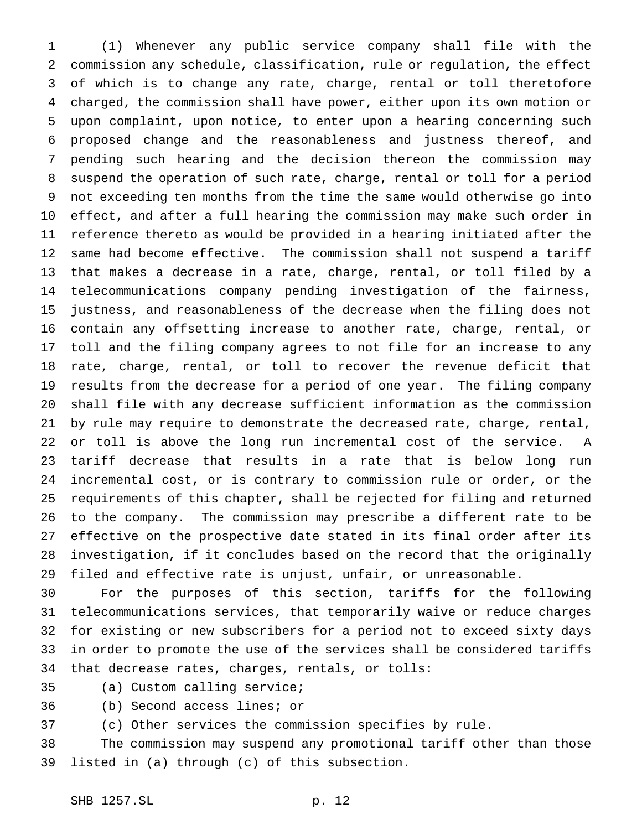(1) Whenever any public service company shall file with the commission any schedule, classification, rule or regulation, the effect of which is to change any rate, charge, rental or toll theretofore charged, the commission shall have power, either upon its own motion or upon complaint, upon notice, to enter upon a hearing concerning such proposed change and the reasonableness and justness thereof, and pending such hearing and the decision thereon the commission may suspend the operation of such rate, charge, rental or toll for a period not exceeding ten months from the time the same would otherwise go into effect, and after a full hearing the commission may make such order in reference thereto as would be provided in a hearing initiated after the same had become effective. The commission shall not suspend a tariff that makes a decrease in a rate, charge, rental, or toll filed by a telecommunications company pending investigation of the fairness, justness, and reasonableness of the decrease when the filing does not contain any offsetting increase to another rate, charge, rental, or toll and the filing company agrees to not file for an increase to any rate, charge, rental, or toll to recover the revenue deficit that results from the decrease for a period of one year. The filing company shall file with any decrease sufficient information as the commission by rule may require to demonstrate the decreased rate, charge, rental, or toll is above the long run incremental cost of the service. A tariff decrease that results in a rate that is below long run incremental cost, or is contrary to commission rule or order, or the requirements of this chapter, shall be rejected for filing and returned to the company. The commission may prescribe a different rate to be effective on the prospective date stated in its final order after its investigation, if it concludes based on the record that the originally filed and effective rate is unjust, unfair, or unreasonable.

 For the purposes of this section, tariffs for the following telecommunications services, that temporarily waive or reduce charges for existing or new subscribers for a period not to exceed sixty days in order to promote the use of the services shall be considered tariffs that decrease rates, charges, rentals, or tolls:

- (a) Custom calling service;
- (b) Second access lines; or
- (c) Other services the commission specifies by rule.

 The commission may suspend any promotional tariff other than those listed in (a) through (c) of this subsection.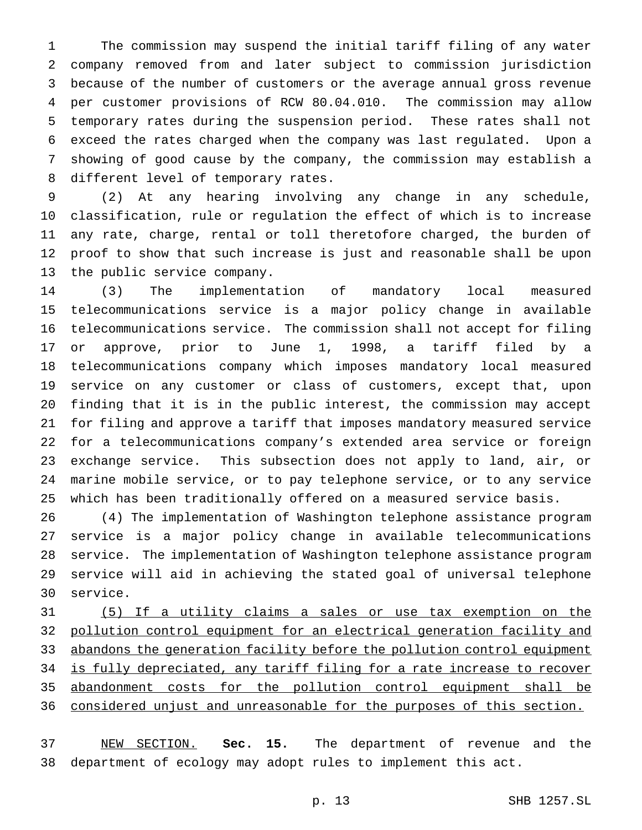The commission may suspend the initial tariff filing of any water company removed from and later subject to commission jurisdiction because of the number of customers or the average annual gross revenue per customer provisions of RCW 80.04.010. The commission may allow temporary rates during the suspension period. These rates shall not exceed the rates charged when the company was last regulated. Upon a showing of good cause by the company, the commission may establish a different level of temporary rates.

 (2) At any hearing involving any change in any schedule, classification, rule or regulation the effect of which is to increase any rate, charge, rental or toll theretofore charged, the burden of proof to show that such increase is just and reasonable shall be upon the public service company.

 (3) The implementation of mandatory local measured telecommunications service is a major policy change in available telecommunications service. The commission shall not accept for filing or approve, prior to June 1, 1998, a tariff filed by a telecommunications company which imposes mandatory local measured service on any customer or class of customers, except that, upon finding that it is in the public interest, the commission may accept for filing and approve a tariff that imposes mandatory measured service for a telecommunications company's extended area service or foreign exchange service. This subsection does not apply to land, air, or marine mobile service, or to pay telephone service, or to any service which has been traditionally offered on a measured service basis.

 (4) The implementation of Washington telephone assistance program service is a major policy change in available telecommunications service. The implementation of Washington telephone assistance program service will aid in achieving the stated goal of universal telephone service.

 (5) If a utility claims a sales or use tax exemption on the pollution control equipment for an electrical generation facility and 33 abandons the generation facility before the pollution control equipment 34 is fully depreciated, any tariff filing for a rate increase to recover abandonment costs for the pollution control equipment shall be considered unjust and unreasonable for the purposes of this section.

 NEW SECTION. **Sec. 15.** The department of revenue and the department of ecology may adopt rules to implement this act.